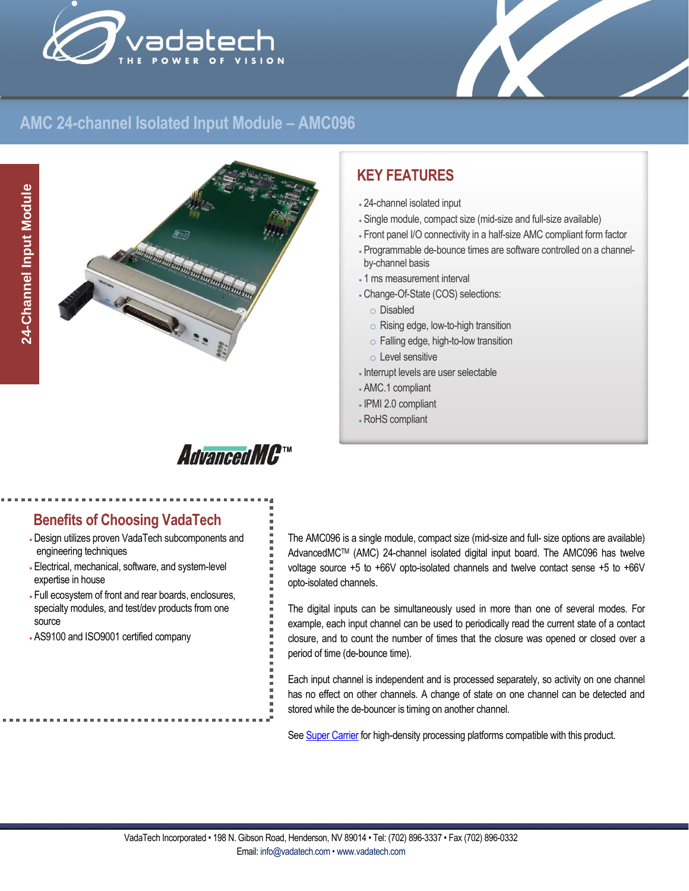



## **AMC 24-channel Isolated Input Module – AMC096**



# **KEY FEATURES**

- 24-channel isolated input
- Single module, compact size (mid-size and full-size available)
- Front panel I/O connectivity in a half-size AMC compliant form factor
- Programmable de-bounce times are software controlled on a channelby-channel basis
- 1 ms measurement interval
- Change-Of-State (COS) selections:
	- o Disabled
	- o Rising edge, low-to-high transition
	- o Falling edge, high-to-low transition
	- o Level sensitive
- Interrupt levels are user selectable
- AMC.1 compliant
- IPMI 2.0 compliant
- RoHS compliant



# **Benefits of Choosing VadaTech**

- Design utilizes proven VadaTech subcomponents and engineering techniques
- Electrical, mechanical, software, and system-level expertise in house
- Full ecosystem of front and rear boards, enclosures, specialty modules, and test/dev products from one source
- AS9100 and ISO9001 certified company

The AMC096 is a single module, compact size (mid-size and full- size options are available) AdvancedMCTM (AMC) 24-channel isolated digital input board. The AMC096 has twelve voltage source +5 to +66V opto-isolated channels and twelve contact sense +5 to +66V opto-isolated channels.

The digital inputs can be simultaneously used in more than one of several modes. For example, each input channel can be used to periodically read the current state of a contact closure, and to count the number of times that the closure was opened or closed over a period of time (de-bounce time).

Each input channel is independent and is processed separately, so activity on one channel has no effect on other channels. A change of state on one channel can be detected and stored while the de-bouncer is timing on another channel.

Se[e Super Carrier](https://www.vadatech.com/media/pdf_VT835_836_Brouchure.pdf) for high-density processing platforms compatible with this product.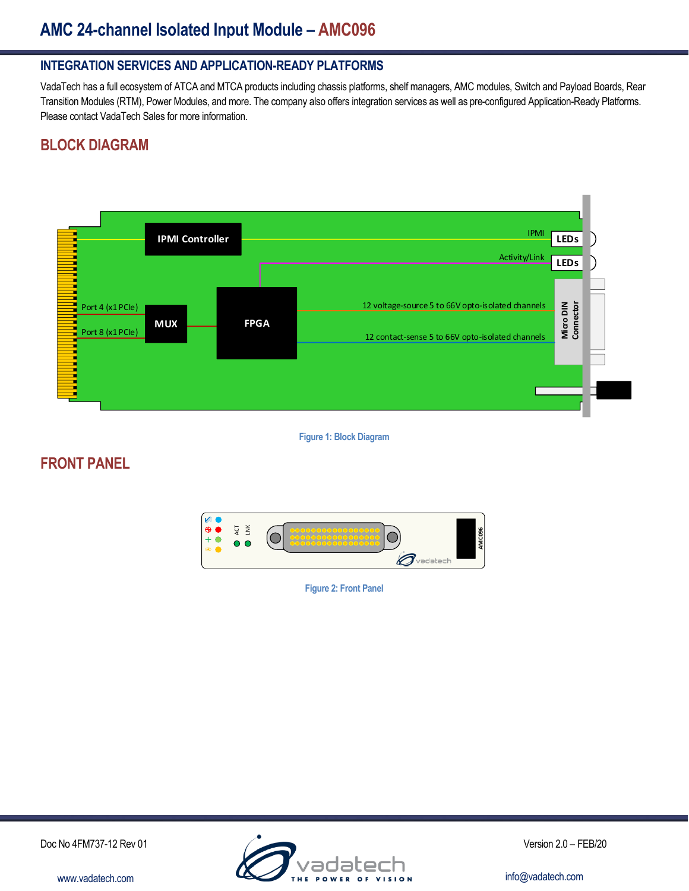# **AMC 24-channel Isolated Input Module – AMC096**

#### **INTEGRATION SERVICES AND APPLICATION-READY PLATFORMS**

VadaTech has a full ecosystem of ATCA and MTCA products including chassis platforms, shelf managers, AMC modules, Switch and Payload Boards, Rear Transition Modules (RTM), Power Modules, and more. The company also offers integration services as well as pre-configured Application-Ready Platforms. Please contact VadaTech Sales for more information.

### **BLOCK DIAGRAM**



**Figure 1: Block Diagram**

#### **FRONT PANEL**



**Figure 2: Front Panel**

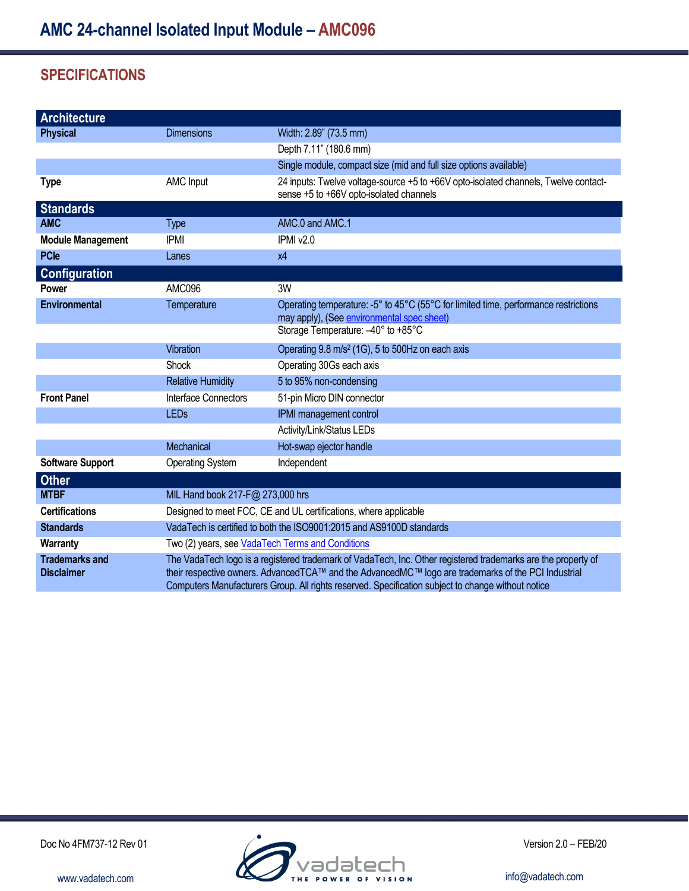## **SPECIFICATIONS**

| <b>Architecture</b>                        |                                                                                                                                                                                                                                                                                                                            |                                                                                                                                   |
|--------------------------------------------|----------------------------------------------------------------------------------------------------------------------------------------------------------------------------------------------------------------------------------------------------------------------------------------------------------------------------|-----------------------------------------------------------------------------------------------------------------------------------|
| <b>Physical</b>                            | <b>Dimensions</b>                                                                                                                                                                                                                                                                                                          | Width: 2.89" (73.5 mm)                                                                                                            |
|                                            |                                                                                                                                                                                                                                                                                                                            | Depth 7.11" (180.6 mm)                                                                                                            |
|                                            |                                                                                                                                                                                                                                                                                                                            | Single module, compact size (mid and full size options available)                                                                 |
| <b>Type</b>                                | AMC Input                                                                                                                                                                                                                                                                                                                  | 24 inputs: Twelve voltage-source +5 to +66V opto-isolated channels, Twelve contact-<br>sense +5 to +66V opto-isolated channels    |
| <b>Standards</b>                           |                                                                                                                                                                                                                                                                                                                            |                                                                                                                                   |
| <b>AMC</b>                                 | <b>Type</b>                                                                                                                                                                                                                                                                                                                | AMC.0 and AMC.1                                                                                                                   |
| <b>Module Management</b>                   | <b>IPMI</b>                                                                                                                                                                                                                                                                                                                | IPMI v2.0                                                                                                                         |
| <b>PCle</b>                                | Lanes                                                                                                                                                                                                                                                                                                                      | x4                                                                                                                                |
| <b>Configuration</b>                       |                                                                                                                                                                                                                                                                                                                            |                                                                                                                                   |
| <b>Power</b>                               | AMC096                                                                                                                                                                                                                                                                                                                     | 3W                                                                                                                                |
| <b>Environmental</b>                       | Temperature                                                                                                                                                                                                                                                                                                                | Operating temperature: -5° to 45°C (55°C for limited time, performance restrictions<br>may apply), (See environmental spec sheet) |
|                                            |                                                                                                                                                                                                                                                                                                                            | Storage Temperature: -40° to +85°C                                                                                                |
|                                            | Vibration                                                                                                                                                                                                                                                                                                                  | Operating 9.8 m/s <sup>2</sup> (1G), 5 to 500Hz on each axis                                                                      |
|                                            | Shock                                                                                                                                                                                                                                                                                                                      | Operating 30Gs each axis                                                                                                          |
|                                            | <b>Relative Humidity</b>                                                                                                                                                                                                                                                                                                   | 5 to 95% non-condensing                                                                                                           |
| <b>Front Panel</b>                         | Interface Connectors                                                                                                                                                                                                                                                                                                       | 51-pin Micro DIN connector                                                                                                        |
|                                            | <b>LEDs</b>                                                                                                                                                                                                                                                                                                                | IPMI management control                                                                                                           |
|                                            |                                                                                                                                                                                                                                                                                                                            | Activity/Link/Status LEDs                                                                                                         |
|                                            | Mechanical                                                                                                                                                                                                                                                                                                                 | Hot-swap ejector handle                                                                                                           |
| <b>Software Support</b>                    | <b>Operating System</b>                                                                                                                                                                                                                                                                                                    | Independent                                                                                                                       |
| Other                                      |                                                                                                                                                                                                                                                                                                                            |                                                                                                                                   |
| <b>MTBF</b>                                | MIL Hand book 217-F@ 273,000 hrs                                                                                                                                                                                                                                                                                           |                                                                                                                                   |
| <b>Certifications</b>                      | Designed to meet FCC, CE and UL certifications, where applicable                                                                                                                                                                                                                                                           |                                                                                                                                   |
| <b>Standards</b>                           | VadaTech is certified to both the ISO9001:2015 and AS9100D standards                                                                                                                                                                                                                                                       |                                                                                                                                   |
| <b>Warranty</b>                            | Two (2) years, see VadaTech Terms and Conditions                                                                                                                                                                                                                                                                           |                                                                                                                                   |
| <b>Trademarks and</b><br><b>Disclaimer</b> | The VadaTech logo is a registered trademark of VadaTech, Inc. Other registered trademarks are the property of<br>their respective owners. AdvancedTCA™ and the AdvancedMC™ logo are trademarks of the PCI Industrial<br>Computers Manufacturers Group. All rights reserved. Specification subject to change without notice |                                                                                                                                   |